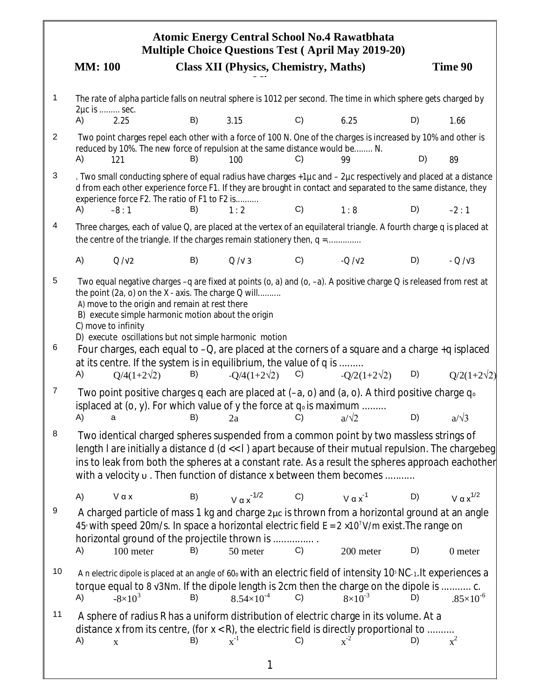|        | <b>Atomic Energy Central School No.4 Rawatbhata</b><br><b>Multiple Choice Questions Test (April May 2019-20)</b> |                                                                                                                                                                                                                                                                                                                                                                                                                                                                                                                                                                  |    |                                              |    |                     |    |                      |  |  |  |
|--------|------------------------------------------------------------------------------------------------------------------|------------------------------------------------------------------------------------------------------------------------------------------------------------------------------------------------------------------------------------------------------------------------------------------------------------------------------------------------------------------------------------------------------------------------------------------------------------------------------------------------------------------------------------------------------------------|----|----------------------------------------------|----|---------------------|----|----------------------|--|--|--|
|        | <b>MM</b> : 100                                                                                                  |                                                                                                                                                                                                                                                                                                                                                                                                                                                                                                                                                                  |    | <b>Class XII (Physics, Chemistry, Maths)</b> |    |                     |    | Time 90              |  |  |  |
| 1      | 2µc is  sec.                                                                                                     | The rate of alpha particle falls on neutral sphere is 1012 per second. The time in which sphere gets charged by                                                                                                                                                                                                                                                                                                                                                                                                                                                  |    |                                              |    |                     |    |                      |  |  |  |
|        | A)                                                                                                               | 2.25                                                                                                                                                                                                                                                                                                                                                                                                                                                                                                                                                             | B) | 3.15                                         | C) | 6.25                | D) | 1.66                 |  |  |  |
| 2      | A)                                                                                                               | Two point charges repel each other with a force of 100 N. One of the charges is increased by 10% and other is<br>reduced by 10%. The new force of repulsion at the same distance would be N.<br>121                                                                                                                                                                                                                                                                                                                                                              | B) | 100                                          | C) | 99                  | D) | 89                   |  |  |  |
| 3      | A)                                                                                                               | . Two small conducting sphere of equal radius have charges +1µc and - 2µc respectively and placed at a distance<br>d from each other experience force F1. If they are brought in contact and separated to the same distance, they<br>experience force F2. The ratio of F1 to F2 is                                                                                                                                                                                                                                                                               | B) |                                              | C) |                     | D) |                      |  |  |  |
| 4      |                                                                                                                  | $-8:1$                                                                                                                                                                                                                                                                                                                                                                                                                                                                                                                                                           |    | 1:2                                          |    | 1:8                 |    | $-2:1$               |  |  |  |
|        |                                                                                                                  | Three charges, each of value Q, are placed at the vertex of an equilateral triangle. A fourth charge q is placed at<br>the centre of the triangle. If the charges remain stationery then, $q =$                                                                                                                                                                                                                                                                                                                                                                  |    |                                              |    |                     |    |                      |  |  |  |
|        | A)                                                                                                               | Q/V2                                                                                                                                                                                                                                                                                                                                                                                                                                                                                                                                                             | B) | Q/V3                                         | C) | $-Q/N2$             | D) | $-Q/V3$              |  |  |  |
| 5<br>6 | A)                                                                                                               | Two equal negative charges -q are fixed at points (o, a) and (o, -a). A positive charge Q is released from rest at<br>the point (2a, o) on the X - axis. The charge Q will<br>A) move to the origin and remain at rest there<br>B) execute simple harmonic motion about the origin<br>C) move to infinity<br>D) execute oscillations but not simple harmonic motion<br>Four charges, each equal to -Q, are placed at the corners of a square and a charge +q isplaced<br>at its centre. If the system is in equilibrium, the value of q is<br>$Q/4(1+2\sqrt{2})$ | B) | $-Q/4(1+2\sqrt{2})$                          | C) | $-O/2(1+2\sqrt{2})$ | D) | $Q/2(1+2\sqrt{2})$   |  |  |  |
| 7      | A)                                                                                                               | Two point positive charges q each are placed at $(-a, o)$ and $(a, o)$ . A third positive charge $q_0$<br>isplaced at (o, y). For which value of y the force at $q_0$ is maximum.<br>а                                                                                                                                                                                                                                                                                                                                                                           | B) | 2a                                           | C) | .<br>$a/\sqrt{2}$   | D) | $a/\sqrt{3}$         |  |  |  |
| 8      |                                                                                                                  | Two identical charged spheres suspended from a common point by two massless strings of<br>length <i>I</i> are initially a distance d ( $d \ll l$ ) apart because of their mutual repulsion. The chargebeg<br>ins to leak from both the spheres at a constant rate. As a result the spheres approach eachother<br>with a velocity u. Then function of distance x between them becomes                                                                                                                                                                             |    |                                              |    |                     |    |                      |  |  |  |
|        | A)                                                                                                               | $V \alpha x$                                                                                                                                                                                                                                                                                                                                                                                                                                                                                                                                                     | B) | $V \alpha x^{-1/2}$                          | C) | $V \alpha x^{-1}$   | D) | V $\alpha x^{1/2}$   |  |  |  |
| 9      |                                                                                                                  | A charged particle of mass 1 kg and charge 2µc is thrown from a horizontal ground at an angle<br>45° with speed 20m/s. In space a horizontal electric field $E = 2 \times 10^7$ V/m exist. The range on<br>horizontal ground of the projectile thrown is                                                                                                                                                                                                                                                                                                         |    |                                              |    |                     |    |                      |  |  |  |
|        | A)                                                                                                               | 100 meter                                                                                                                                                                                                                                                                                                                                                                                                                                                                                                                                                        | B) | 50 meter                                     | C) | 200 meter           | D) | 0 meter              |  |  |  |
| 10     | A)                                                                                                               | A n electric dipole is placed at an angle of 60% with an electric field of intensity 10 <sup>%</sup> NC-1. It experiences a<br>torque equal to 8 v3Nm. If the dipole length is 2cm then the charge on the dipole is  c.<br>$-8\times10^{3}$                                                                                                                                                                                                                                                                                                                      | B) | $8.54\times10^{-4}$                          | C) | $8 \times 10^{-3}$  | D) | $.85 \times 10^{-6}$ |  |  |  |
| 11     | A)                                                                                                               | A sphere of radius R has a uniform distribution of electric charge in its volume. At a<br>distance x from its centre, (for $x < R$ ), the electric field is directly proportional to<br>$\mathbf X$                                                                                                                                                                                                                                                                                                                                                              | B) | $x^{-1}$                                     | C) | $x^{-2}$            | D) | $x^2$                |  |  |  |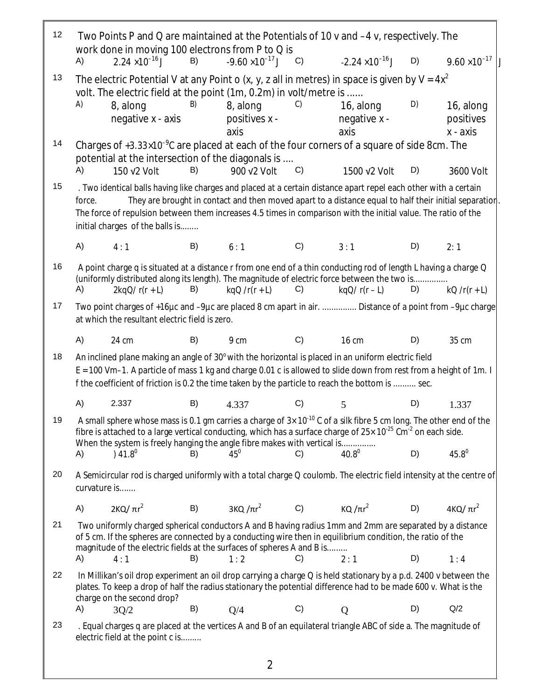| 12 |                                                                                                                                                                                                                                                                                                                                                                                                                                                                             | Two Points P and Q are maintained at the Potentials of 10 v and -4 v, respectively. The<br>work done in moving 100 electrons from P to Q is                                                                                                                                                                                                      |    |                                     |    |                                     |    |                                      |  |
|----|-----------------------------------------------------------------------------------------------------------------------------------------------------------------------------------------------------------------------------------------------------------------------------------------------------------------------------------------------------------------------------------------------------------------------------------------------------------------------------|--------------------------------------------------------------------------------------------------------------------------------------------------------------------------------------------------------------------------------------------------------------------------------------------------------------------------------------------------|----|-------------------------------------|----|-------------------------------------|----|--------------------------------------|--|
|    | A)                                                                                                                                                                                                                                                                                                                                                                                                                                                                          | $2.24 \times 10^{-16}$ J                                                                                                                                                                                                                                                                                                                         | B) | $-9.60 \times 10^{-17}$ J           | C) | $-2.24 \times 10^{-16}$ J           | D) | $9.60 \times 10^{-17}$               |  |
| 13 | A)                                                                                                                                                                                                                                                                                                                                                                                                                                                                          | The electric Potential V at any Point o (x, y, z all in metres) in space is given by $V = 4x^2$<br>volt. The electric field at the point (1m, 0.2m) in volt/metre is<br>8, along<br>negative $x$ - axis                                                                                                                                          | B) | 8, along<br>positives $x -$<br>axis | C) | 16, along<br>negative $x -$<br>axis | D) | 16, along<br>positives<br>$x - axis$ |  |
| 14 |                                                                                                                                                                                                                                                                                                                                                                                                                                                                             | Charges of $+3.33\times10^{-9}$ C are placed at each of the four corners of a square of side 8cm. The<br>potential at the intersection of the diagonals is                                                                                                                                                                                       |    |                                     |    |                                     |    |                                      |  |
| 15 | A)<br>B)<br>900 v2 Volt<br>C)<br>D)<br>150 v2 Volt<br>1500 v2 Volt<br>3600 Volt<br>. Two identical balls having like charges and placed at a certain distance apart repel each other with a certain<br>They are brought in contact and then moved apart to a distance equal to half their initial separation<br>force.<br>The force of repulsion between them increases 4.5 times in comparison with the initial value. The ratio of the<br>initial charges of the balls is |                                                                                                                                                                                                                                                                                                                                                  |    |                                     |    |                                     |    |                                      |  |
|    | A)                                                                                                                                                                                                                                                                                                                                                                                                                                                                          | 4:1                                                                                                                                                                                                                                                                                                                                              | B) | 6:1                                 | C) | 3:1                                 | D) | 2:1                                  |  |
| 16 | A)                                                                                                                                                                                                                                                                                                                                                                                                                                                                          | A point charge q is situated at a distance r from one end of a thin conducting rod of length L having a charge Q<br>(uniformly distributed along its length). The magnitude of electric force between the two is<br>$2kqQ/r(r + L)$                                                                                                              | B) | $kqQ/r(r+L)$                        | C) | $kqQ/r(r - L)$                      | D) | $kQ/r(r+L)$                          |  |
| 17 | Two point charges of +16µc and -9µc are placed 8 cm apart in air.  Distance of a point from -9µc charge<br>at which the resultant electric field is zero.                                                                                                                                                                                                                                                                                                                   |                                                                                                                                                                                                                                                                                                                                                  |    |                                     |    |                                     |    |                                      |  |
|    | A)                                                                                                                                                                                                                                                                                                                                                                                                                                                                          | 24 cm                                                                                                                                                                                                                                                                                                                                            | B) | 9 cm                                | C) | <b>16 cm</b>                        | D) | 35 cm                                |  |
| 18 | An inclined plane making an angle of 30° with the horizontal is placed in an uniform electric field<br>E = 100 Vm-1. A particle of mass 1 kg and charge 0.01 c is allowed to slide down from rest from a height of 1m. I<br>f the coefficient of friction is 0.2 the time taken by the particle to reach the bottom is  sec.                                                                                                                                                |                                                                                                                                                                                                                                                                                                                                                  |    |                                     |    |                                     |    |                                      |  |
|    | A)                                                                                                                                                                                                                                                                                                                                                                                                                                                                          | 2.337                                                                                                                                                                                                                                                                                                                                            | B) | 4.337                               | C) | 5                                   | D) | 1.337                                |  |
| 19 |                                                                                                                                                                                                                                                                                                                                                                                                                                                                             | A small sphere whose mass is 0.1 gm carries a charge of $3 \times 10^{-10}$ C of a silk fibre 5 cm long. The other end of the<br>fibre is attached to a large vertical conducting, which has a surface charge of $25 \times 10^{-25}$ Cm <sup>-2</sup> on each side.<br>When the system is freely hanging the angle fibre makes with vertical is |    |                                     |    |                                     |    |                                      |  |
|    | A)                                                                                                                                                                                                                                                                                                                                                                                                                                                                          | $41.8^{0}$                                                                                                                                                                                                                                                                                                                                       | B) | $45^{\circ}$                        | C) | $40.8^{0}$                          | D) | $45.8^{0}$                           |  |
| 20 |                                                                                                                                                                                                                                                                                                                                                                                                                                                                             | A Semicircular rod is charged uniformly with a total charge Q coulomb. The electric field intensity at the centre of<br>curvature is                                                                                                                                                                                                             |    |                                     |    |                                     |    |                                      |  |
|    | A)                                                                                                                                                                                                                                                                                                                                                                                                                                                                          | 2KQ/ $\pi r^2$                                                                                                                                                                                                                                                                                                                                   | B) | 3КQ $/\pi r^2$                      | C) | KQ/ $πr2$                           | D) | 4KQ/ $\pi r^2$                       |  |
| 21 |                                                                                                                                                                                                                                                                                                                                                                                                                                                                             | Two uniformly charged spherical conductors A and B having radius 1mm and 2mm are separated by a distance<br>of 5 cm. If the spheres are connected by a conducting wire then in equilibrium condition, the ratio of the<br>magnitude of the electric fields at the surfaces of spheres A and B is                                                 |    |                                     |    |                                     |    |                                      |  |
|    | A)                                                                                                                                                                                                                                                                                                                                                                                                                                                                          | 4:1                                                                                                                                                                                                                                                                                                                                              | B) | 1:2                                 | C) | 2:1                                 | D) | 1:4                                  |  |
| 22 |                                                                                                                                                                                                                                                                                                                                                                                                                                                                             | In Millikan's oil drop experiment an oil drop carrying a charge Q is held stationary by a p.d. 2400 v between the<br>plates. To keep a drop of half the radius stationary the potential difference had to be made 600 v. What is the<br>charge on the second drop?                                                                               |    |                                     |    |                                     |    |                                      |  |
|    | A)                                                                                                                                                                                                                                                                                                                                                                                                                                                                          | 3Q/2                                                                                                                                                                                                                                                                                                                                             | B) | Q/4                                 | C) | Q                                   | D) | Q/2                                  |  |
| 23 |                                                                                                                                                                                                                                                                                                                                                                                                                                                                             | . Equal charges q are placed at the vertices A and B of an equilateral triangle ABC of side a. The magnitude of<br>electric field at the point c is                                                                                                                                                                                              |    |                                     |    |                                     |    |                                      |  |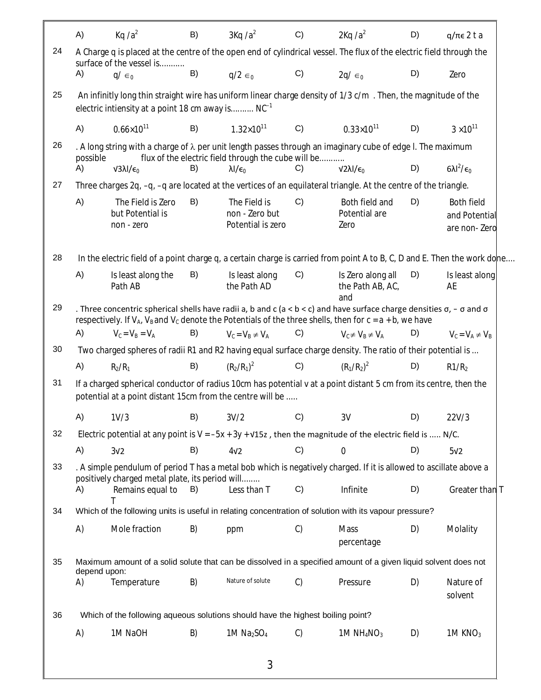|    | A)                 | Kq $/a2$                                                                                                                                                                                                                                                            | B) | $3Kq/a^2$                                                                        | C)            | $2Kq/a^2$                                    | D) | $q/\pi \epsilon$ 2 t a                      |
|----|--------------------|---------------------------------------------------------------------------------------------------------------------------------------------------------------------------------------------------------------------------------------------------------------------|----|----------------------------------------------------------------------------------|---------------|----------------------------------------------|----|---------------------------------------------|
| 24 |                    | A Charge q is placed at the centre of the open end of cylindrical vessel. The flux of the electric field through the                                                                                                                                                |    |                                                                                  |               |                                              |    |                                             |
|    | A)                 | surface of the vessel is<br>$q/\epsilon_0$                                                                                                                                                                                                                          | B) | $q/2 \in_0$                                                                      | C)            | $2q/\epsilon_0$                              | D) | Zero                                        |
| 25 |                    | An infinitly long thin straight wire has uniform linear charge density of 1/3 c/m. Then, the magnitude of the                                                                                                                                                       |    |                                                                                  |               |                                              |    |                                             |
|    |                    | electric intiensity at a point 18 cm away is $NC^{-1}$                                                                                                                                                                                                              |    |                                                                                  |               |                                              |    |                                             |
|    | A)                 | $0.66 \times 10^{11}$                                                                                                                                                                                                                                               | B) | $1.32 \times 10^{11}$                                                            | C)            | $0.33 \times 10^{11}$                        | D) | $3 \times 10^{11}$                          |
| 26 |                    | . A long string with a charge of $\lambda$ per unit length passes through an imaginary cube of edge I. The maximum                                                                                                                                                  |    |                                                                                  |               |                                              |    |                                             |
|    | possible<br>A)     | $V3\lambda$ I/ $\epsilon_0$                                                                                                                                                                                                                                         | B) | flux of the electric field through the cube will be<br>$\lambda$ I/ $\epsilon_0$ | C)            | $V2\lambda$ I/ $\epsilon_0$                  | D) | $6\lambda l^2/\epsilon_0$                   |
| 27 |                    | Three charges 2q, -q, -q are located at the vertices of an equilateral triangle. At the centre of the triangle.                                                                                                                                                     |    |                                                                                  |               |                                              |    |                                             |
|    | A)                 | The Field is Zero<br>but Potential is<br>non - zero                                                                                                                                                                                                                 | B) | The Field is<br>non - Zero but<br>Potential is zero                              | C)            | Both field and<br>Potential are<br>Zero      | D) | Both field<br>and Potential<br>are non-Zero |
| 28 |                    | In the electric field of a point charge q, a certain charge is carried from point A to B, C, D and E. Then the work dome                                                                                                                                            |    |                                                                                  |               |                                              |    |                                             |
|    | A)                 | Is least along the<br>Path AB                                                                                                                                                                                                                                       | B) | Is least along<br>the Path AD                                                    | C)            | Is Zero along all<br>the Path AB, AC,<br>and | D) | Is least along<br>AE                        |
| 29 |                    | . Three concentric spherical shells have radii a, b and c ( $a < b < c$ ) and have surface charge densities $\sigma$ , $-\sigma$ and $\sigma$<br>respectively. If $V_A$ , $V_B$ and $V_C$ denote the Potentials of the three shells, then for $c = a + b$ , we have |    |                                                                                  |               |                                              |    |                                             |
|    | A)                 | $V_C = V_B = V_A$                                                                                                                                                                                                                                                   | B) | $V_c = V_B \neq V_A$                                                             | C)            | $V_c \neq V_B \neq V_A$                      | D) | $V_C = V_A \neq V_B$                        |
| 30 |                    | Two charged spheres of radii R1 and R2 having equal surface charge density. The ratio of their potential is                                                                                                                                                         |    |                                                                                  |               |                                              |    |                                             |
|    | A)                 | $R_2/R_1$                                                                                                                                                                                                                                                           | B) | $(R_2/R_1)^2$                                                                    | C)            | $(R_1/R_2)^2$                                | D) | R1/R <sub>2</sub>                           |
| 31 |                    | If a charged spherical conductor of radius 10cm has potential v at a point distant 5 cm from its centre, then the<br>potential at a point distant 15cm from the centre will be                                                                                      |    |                                                                                  |               |                                              |    |                                             |
|    | A)                 | 1V/3                                                                                                                                                                                                                                                                | B) | 3V/2                                                                             | C)            | 3V                                           | D) | 22V/3                                       |
| 32 |                    | Electric potential at any point is $V = -5x + 3y + \sqrt{15}z$ , then the magnitude of the electric field is  N/C.                                                                                                                                                  |    |                                                                                  |               |                                              |    |                                             |
|    | A)                 | 3 <sub>V</sub> 2                                                                                                                                                                                                                                                    | B) | 4 <sub>2</sub>                                                                   | C)            | 0                                            | D) | 5 <sub>v</sub> 2                            |
| 33 |                    | . A simple pendulum of period T has a metal bob which is negatively charged. If it is allowed to ascillate above a<br>positively charged metal plate, its period will                                                                                               |    |                                                                                  |               |                                              |    |                                             |
|    | A)                 | Remains equal to                                                                                                                                                                                                                                                    | B) | Less than T                                                                      | C)            | Infinite                                     | D) | Greater than T                              |
| 34 |                    | Which of the following units is useful in relating concentration of solution with its vapour pressure?                                                                                                                                                              |    |                                                                                  |               |                                              |    |                                             |
|    | A)                 | Mole fraction                                                                                                                                                                                                                                                       | B) | ppm                                                                              | C)            | Mass<br>percentage                           | D) | Molality                                    |
| 35 |                    | Maximum amount of a solid solute that can be dissolved in a specified amount of a given liquid solvent does not                                                                                                                                                     |    |                                                                                  |               |                                              |    |                                             |
|    | depend upon:<br>A) | Temperature                                                                                                                                                                                                                                                         | B) | Nature of solute                                                                 | C)            | Pressure                                     | D) | Nature of<br>solvent                        |
| 36 |                    | Which of the following aqueous solutions should have the highest boiling point?                                                                                                                                                                                     |    |                                                                                  |               |                                              |    |                                             |
|    | A)                 | 1M NaOH                                                                                                                                                                                                                                                             | B) | 1M $Na2SO4$                                                                      | $\mathcal{C}$ | 1M $NH_4NO_3$                                | D) | 1M $KNO3$                                   |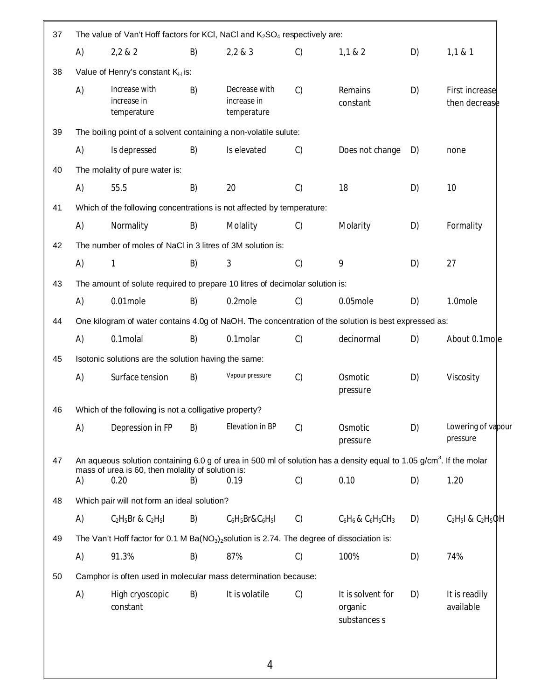| 37 |                                                                                                      | The value of Van't Hoff factors for KCI, NaCI and K <sub>2</sub> SO <sub>4</sub> respectively are:        |    |                                             |    |                                                                                                                                 |    |                                 |
|----|------------------------------------------------------------------------------------------------------|-----------------------------------------------------------------------------------------------------------|----|---------------------------------------------|----|---------------------------------------------------------------------------------------------------------------------------------|----|---------------------------------|
|    | A)                                                                                                   | 2,2 & 2                                                                                                   | B) | 2,2 & 3                                     | C) | 1,1 & 2                                                                                                                         | D) | 1,1 & 8 & 1                     |
| 38 |                                                                                                      | Value of Henry's constant K <sub>H</sub> is:                                                              |    |                                             |    |                                                                                                                                 |    |                                 |
|    | A)                                                                                                   | Increase with<br>increase in<br>temperature                                                               | B) | Decrease with<br>increase in<br>temperature | C) | Remains<br>constant                                                                                                             | D) | First increase<br>then decrease |
| 39 |                                                                                                      | The boiling point of a solvent containing a non-volatile sulute:                                          |    |                                             |    |                                                                                                                                 |    |                                 |
|    | A)                                                                                                   | Is depressed                                                                                              | B) | Is elevated                                 | C) | Does not change                                                                                                                 | D) | none                            |
| 40 |                                                                                                      | The molality of pure water is:                                                                            |    |                                             |    |                                                                                                                                 |    |                                 |
|    | A)                                                                                                   | 55.5                                                                                                      | B) | 20                                          | C) | 18                                                                                                                              | D) | 10                              |
| 41 |                                                                                                      | Which of the following concentrations is not affected by temperature:                                     |    |                                             |    |                                                                                                                                 |    |                                 |
|    | A)                                                                                                   | Normality                                                                                                 | B) | Molality                                    | C) | Molarity                                                                                                                        | D) | Formality                       |
| 42 |                                                                                                      | The number of moles of NaCl in 3 litres of 3M solution is:                                                |    |                                             |    |                                                                                                                                 |    |                                 |
|    | A)                                                                                                   | $\mathbf{1}$                                                                                              | B) | 3                                           | C) | 9                                                                                                                               | D) | 27                              |
| 43 | The amount of solute required to prepare 10 litres of decimolar solution is:                         |                                                                                                           |    |                                             |    |                                                                                                                                 |    |                                 |
|    | A)                                                                                                   | 0.01mole                                                                                                  | B) | 0.2mole                                     | C) | 0.05mole                                                                                                                        | D) | 1.0mole                         |
| 44 | One kilogram of water contains 4.0g of NaOH. The concentration of the solution is best expressed as: |                                                                                                           |    |                                             |    |                                                                                                                                 |    |                                 |
|    | A)                                                                                                   | 0.1molal                                                                                                  | B) | 0.1molar                                    | C) | decinormal                                                                                                                      | D) | About 0.1mole                   |
| 45 |                                                                                                      | Isotonic solutions are the solution having the same:                                                      |    |                                             |    |                                                                                                                                 |    |                                 |
|    | A)                                                                                                   | Surface tension                                                                                           | B) | Vapour pressure                             | C) | Osmotic<br>pressure                                                                                                             | D) | Viscosity                       |
| 46 |                                                                                                      | Which of the following is not a colligative property?                                                     |    |                                             |    |                                                                                                                                 |    |                                 |
|    | A)                                                                                                   | Depression in FP                                                                                          | B) | Elevation in BP                             | C) | Osmotic<br>pressure                                                                                                             | D) | Lowering of vapour<br>pressure  |
| 47 |                                                                                                      |                                                                                                           |    |                                             |    | An aqueous solution containing 6.0 g of urea in 500 ml of solution has a density equal to 1.05 g/cm <sup>3</sup> . If the molar |    |                                 |
|    | A)                                                                                                   | mass of urea is 60, then molality of solution is:<br>0.20                                                 | B) | 0.19                                        | C) | 0.10                                                                                                                            | D) | 1.20                            |
| 48 |                                                                                                      | Which pair will not form an ideal solution?                                                               |    |                                             |    |                                                                                                                                 |    |                                 |
|    | A)                                                                                                   | $C_2H_5Br$ & $C_2H_5I$                                                                                    | B) | $C_6H_5Br\&C_6H_5I$                         | C) | $C_6H_6$ & $C_6H_5CH_3$                                                                                                         | D) | $C_2H_5I$ & $C_2H_5QH$          |
| 49 |                                                                                                      | The Van't Hoff factor for 0.1 M Ba( $NO3$ ) <sub>2</sub> solution is 2.74. The degree of dissociation is: |    |                                             |    |                                                                                                                                 |    |                                 |
|    | A)                                                                                                   | 91.3%                                                                                                     | B) | 87%                                         | C) | 100%                                                                                                                            | D) | 74%                             |
| 50 |                                                                                                      | Camphor is often used in molecular mass determination because:                                            |    |                                             |    |                                                                                                                                 |    |                                 |
|    | A)                                                                                                   | High cryoscopic<br>constant                                                                               | B) | It is volatile                              | C) | It is solvent for<br>organic<br>substances s                                                                                    | D) | It is readily<br>available      |
|    |                                                                                                      |                                                                                                           |    |                                             |    |                                                                                                                                 |    |                                 |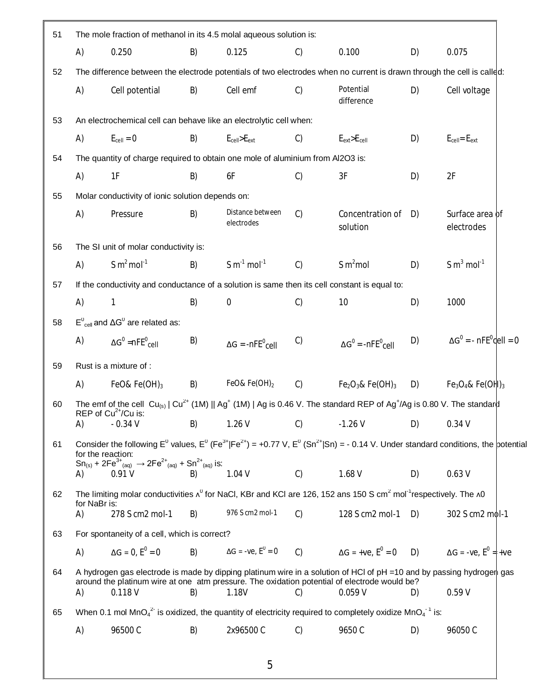| 51 |                    | The mole fraction of methanol in its 4.5 molal aqueous solution is:                                                                                                                                                                                                                          |    |                                     |               |                                                              |    |                                            |  |
|----|--------------------|----------------------------------------------------------------------------------------------------------------------------------------------------------------------------------------------------------------------------------------------------------------------------------------------|----|-------------------------------------|---------------|--------------------------------------------------------------|----|--------------------------------------------|--|
|    | A)                 | 0.250                                                                                                                                                                                                                                                                                        | B) | 0.125                               | $\mathcal{C}$ | 0.100                                                        | D) | 0.075                                      |  |
| 52 |                    | The difference between the electrode potentials of two electrodes when no current is drawn through the cell is called:                                                                                                                                                                       |    |                                     |               |                                                              |    |                                            |  |
|    | A)                 | Cell potential                                                                                                                                                                                                                                                                               | B) | Cell emf                            | C)            | Potential<br>difference                                      | D) | Cell voltage                               |  |
| 53 |                    | An electrochemical cell can behave like an electrolytic cell when:                                                                                                                                                                                                                           |    |                                     |               |                                                              |    |                                            |  |
|    | A)                 | $E_{cell} = 0$                                                                                                                                                                                                                                                                               | B) | $E_{cell}$ > $E_{ext}$              | $\mathcal{C}$ | $E_{ext}$ > $E_{cell}$                                       | D) | $E_{cell} = E_{ext}$                       |  |
| 54 |                    | The quantity of charge required to obtain one mole of aluminium from Al2O3 is:                                                                                                                                                                                                               |    |                                     |               |                                                              |    |                                            |  |
|    | A)                 | 1F                                                                                                                                                                                                                                                                                           | B) | 6F                                  | C)            | 3F                                                           | D) | 2F                                         |  |
| 55 |                    | Molar conductivity of ionic solution depends on:                                                                                                                                                                                                                                             |    |                                     |               |                                                              |    |                                            |  |
|    | A)                 | Pressure                                                                                                                                                                                                                                                                                     | B) | Distance between<br>electrodes      | C)            | Concentration of<br>solution                                 | D) | Surface area of<br>electrodes              |  |
| 56 |                    | The SI unit of molar conductivity is:                                                                                                                                                                                                                                                        |    |                                     |               |                                                              |    |                                            |  |
|    | A)                 | S $m^2$ mol <sup>-1</sup>                                                                                                                                                                                                                                                                    | B) | $S \text{ m}^{-1} \text{ mol}^{-1}$ | C)            | S m <sup>2</sup> mol                                         | D) | S $m^3$ mol <sup>-1</sup>                  |  |
| 57 |                    | If the conductivity and conductance of a solution is same then its cell constant is equal to:                                                                                                                                                                                                |    |                                     |               |                                                              |    |                                            |  |
|    | A)                 | 1                                                                                                                                                                                                                                                                                            | B) | $\boldsymbol{0}$                    | C)            | 10                                                           | D) | 1000                                       |  |
| 58 |                    | $E^0_{cell}$ and $\Delta G^0$ are related as:                                                                                                                                                                                                                                                |    |                                     |               |                                                              |    |                                            |  |
|    | A)                 | $\Delta G^0$ =nFE $^0$ <sub>cell</sub>                                                                                                                                                                                                                                                       | B) | $\Delta G = -nFE^{0}$ cell          | C)            | $\Delta G^0$ = -nFE <sup>0</sup> <sub>Cell</sub>             | D) | $\Delta G^0$ = - nFE <sup>o</sup> dell = 0 |  |
| 59 |                    | Rust is a mixture of :                                                                                                                                                                                                                                                                       |    |                                     |               |                                                              |    |                                            |  |
|    | A)                 | FeO& Fe $(OH)_3$                                                                                                                                                                                                                                                                             | B) | FeO& Fe(OH) $_2$                    | C)            | $Fe2O3$ & Fe(OH) <sub>3</sub>                                | D) | $Fe3O4$ & Fe(OH) <sub>3</sub>              |  |
| 60 |                    | The emf of the cell $Cu_{(s)}$   $Cu^{2+}$ (1M)    Ag <sup>+</sup> (1M)   Ag is 0.46 V. The standard REP of Ag <sup>+</sup> /Ag is 0.80 V. The standard                                                                                                                                      |    |                                     |               |                                                              |    |                                            |  |
|    | A)                 | REP of $Cu^{2+}/Cu$ is:<br>$-0.34V$                                                                                                                                                                                                                                                          | B) | 1.26V                               | C)            | $-1.26V$                                                     | D) | 0.34V                                      |  |
| 61 | A)                 | Consider the following $E^0$ values, $E^0$ (Fe <sup>3+</sup>  Fe <sup>2+</sup> ) = +0.77 V, $E^0$ (Sn <sup>2+</sup>  Sn) = - 0.14 V. Under standard conditions, the potential<br>for the reaction:<br>$Sn_{(s)} + 2Fe^{3+}_{(aq)} \rightarrow 2Fe^{2+}_{(aq)} + Sn^{2+}_{(aq)}$ is:<br>0.91V | B) | 1.04V                               | C)            | 1.68 V                                                       | D) | 0.63V                                      |  |
| 62 |                    | The limiting molar conductivities $\lambda^0$ for NaCl, KBr and KCl are 126, 152 ans 150 S cm <sup>2</sup> mol <sup>-1</sup> respectively. The $\lambda$ 0                                                                                                                                   |    |                                     |               |                                                              |    |                                            |  |
|    | for NaBr is:<br>A) | 278 S cm2 mol-1                                                                                                                                                                                                                                                                              | B) | 976 S cm2 mol-1                     | C)            | 128 S cm2 mol-1                                              | D) | 302 S cm2 mol-1                            |  |
| 63 |                    | For spontaneity of a cell, which is correct?                                                                                                                                                                                                                                                 |    |                                     |               |                                                              |    |                                            |  |
|    | A)                 | $\Delta G = 0, E^0 = 0$                                                                                                                                                                                                                                                                      | B) | $\Delta G = -ve, E^0 = 0$           | C             | $\Delta G$ = +ve, $E^0$ = 0 D) $\Delta G$ = -ve, $E^0$ = +ve |    |                                            |  |
| 64 | A)                 | A hydrogen gas electrode is made by dipping platinum wire in a solution of HCl of pH =10 and by passing hydroger gas<br>around the platinum wire at one atm pressure. The oxidation potential of electrode would be?<br>0.118V                                                               | B) | 1.18V                               | C)            | 0.059V                                                       | D) | 0.59V                                      |  |
|    |                    | When 0.1 mol MnO <sub>4</sub> <sup>2</sup> is oxidized, the quantity of electricity required to completely oxidize MnO <sub>4</sub> <sup>-1</sup> is:                                                                                                                                        |    |                                     |               |                                                              |    |                                            |  |
| 65 | A)                 | 96500 C                                                                                                                                                                                                                                                                                      | B) | 2x96500 C                           | C)            | 9650 C                                                       | D) | 96050C                                     |  |
|    |                    |                                                                                                                                                                                                                                                                                              |    |                                     |               |                                                              |    |                                            |  |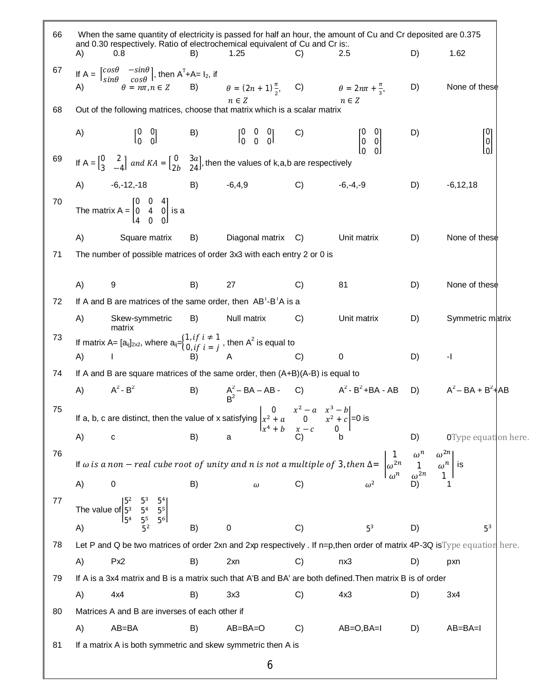| 66 | When the same quantity of electricity is passed for half an hour, the amount of Cu and Cr deposited are 0.375<br>and 0.30 respectively. Ratio of electrochemical equivalent of Cu and Cr is:.<br>A)<br>0.8                        | B) | 1.25                                                                                                        | C)                           | 2.5                                                   | D) | 1.62                          |
|----|-----------------------------------------------------------------------------------------------------------------------------------------------------------------------------------------------------------------------------------|----|-------------------------------------------------------------------------------------------------------------|------------------------------|-------------------------------------------------------|----|-------------------------------|
| 67 |                                                                                                                                                                                                                                   |    |                                                                                                             |                              |                                                       |    |                               |
|    | If $A = \begin{bmatrix} \cos\theta & -\sin\theta \\ \sin\theta & \cos\theta \end{bmatrix}$ , then $A^{T}+A=I_{2}$ , if<br>A) $\theta = n\pi, n \in Z$ B) $\theta = (2n + 1)\frac{\pi}{2}$ , C) $\theta = 2n\pi + \frac{\pi}{3}$ , |    | $n \in \mathbb{Z}$                                                                                          |                              | $n\in Z$                                              | D) | None of these                 |
| 68 | Out of the following matrices, choose that matrix which is a scalar matrix                                                                                                                                                        |    |                                                                                                             |                              |                                                       |    |                               |
|    | A)                                                                                                                                                                                                                                |    | $\begin{bmatrix} 0 & 0 \\ 0 & 0 \end{bmatrix}$ B) $\begin{bmatrix} 0 & 0 & 0 \\ 0 & 0 & 0 \end{bmatrix}$ C) |                              | $\begin{bmatrix} 0 & 0 \\ 0 & 0 \end{bmatrix}$        | D) | ГO <sub>1</sub><br> 0 <br>loJ |
| 69 | If A = $\begin{bmatrix} 0 & 2 \\ 3 & -4 \end{bmatrix}$ and $KA = \begin{bmatrix} 0 & 3a \\ 2b & 24 \end{bmatrix}$ , then the values of k,a,b are respectively                                                                     |    |                                                                                                             |                              |                                                       |    |                               |
|    | $-6, -12, -18$<br>A)                                                                                                                                                                                                              |    | $B) \t -6,4,9$                                                                                              | $C)$ -6,-4,-9                |                                                       | D) | $-6, 12, 18$                  |
| 70 | The matrix A = $\begin{bmatrix} 0 & 0 & 4 \\ 0 & 4 & 0 \\ 4 & 0 & 0 \end{bmatrix}$ is a                                                                                                                                           |    |                                                                                                             |                              |                                                       |    |                               |
|    | A)<br>Square matrix                                                                                                                                                                                                               | B) | Diagonal matrix C)                                                                                          |                              | Unit matrix                                           | D) | None of these                 |
| 71 | The number of possible matrices of order 3x3 with each entry 2 or 0 is                                                                                                                                                            |    |                                                                                                             |                              |                                                       |    |                               |
|    | A)<br>9                                                                                                                                                                                                                           | B) | 27                                                                                                          | C)                           | 81                                                    | D) | None of these                 |
| 72 | If A and B are matrices of the same order, then AB'-B'A is a                                                                                                                                                                      |    |                                                                                                             |                              |                                                       |    |                               |
|    | A)<br>Skew-symmetric<br>matrix                                                                                                                                                                                                    | B) | Null matrix                                                                                                 | C)                           | Unit matrix                                           | D) | Symmetric matrix              |
| 73 | If matrix A= $[a_{ij}]_{2\times 2}$ , where $a_{ij} = \begin{cases} 1, if \ i \neq 1 \\ 0, if \ i = j \end{cases}$ , then A <sup>2</sup> is equal to                                                                              |    |                                                                                                             |                              |                                                       |    |                               |
|    | A)                                                                                                                                                                                                                                |    |                                                                                                             | C)                           | 0                                                     | D) | $-1$                          |
| 74 | If A and B are square matrices of the same order, then (A+B)(A-B) is equal to                                                                                                                                                     |    |                                                                                                             |                              |                                                       |    |                               |
|    | $A^2 - B^2$<br>A)                                                                                                                                                                                                                 |    |                                                                                                             |                              | B) $A^2 - BA - AB - C$ $A^2 - B^2 + BA - AB$<br>$B^2$ |    | D) $A^2 - BA + B^2$   AB      |
| 75 | If a, b, c are distinct, then the value of x satisfying $\begin{vmatrix} 0 & x^2 - a & x^3 - b \\ x^2 + a & 0 & x^2 + c \end{vmatrix} = 0$ is                                                                                     |    | $\int x^4 + b$                                                                                              | $x-\ensuremath{\mathcal{C}}$ | $\overline{0}$                                        |    |                               |
|    |                                                                                                                                                                                                                                   |    |                                                                                                             |                              |                                                       |    | <b>OType equat</b> on here.   |
| 76 | A) c b) a<br>If $\omega$ is a non – real cube root of unity and n is not a multiple of 3, then $\Delta = \begin{vmatrix} 1 & \omega^n & \omega^{2n} \\ \omega^{2n} & 1 & \omega^n \\ \omega^n & \omega^{2n} & 1 \end{vmatrix}$ is |    |                                                                                                             |                              |                                                       |    |                               |
|    |                                                                                                                                                                                                                                   |    |                                                                                                             |                              |                                                       |    |                               |
| 77 | The value of $\begin{bmatrix} 5^2 & 5^3 & 5^4 \\ 5^3 & 5^4 & 5^5 \\ 5^4 & 5^5 & 5^6 \end{bmatrix}$<br>A)                                                                                                                          |    |                                                                                                             |                              |                                                       |    |                               |
|    | A)                                                                                                                                                                                                                                | B) | 0                                                                                                           | C)                           | 5 <sup>3</sup>                                        | D) | 5 <sup>3</sup>                |
| 78 | Let P and Q be two matrices of order 2xn and 2xp respectively . If n=p, then order of matrix 4P-3Q is Type equation here.                                                                                                         |    |                                                                                                             |                              |                                                       |    |                               |
|    | A)<br>Px <sub>2</sub>                                                                                                                                                                                                             | B) | 2xn                                                                                                         | C)                           | nx3                                                   | D) | pxn                           |
| 79 | If A is a 3x4 matrix and B is a matrix such that A'B and BA' are both defined. Then matrix B is of order                                                                                                                          |    |                                                                                                             |                              |                                                       |    |                               |
|    | A)<br>4x4                                                                                                                                                                                                                         | B) | 3x3                                                                                                         | C)                           | 4x3                                                   | D) | 3x4                           |
| 80 | Matrices A and B are inverses of each other if                                                                                                                                                                                    |    |                                                                                                             |                              |                                                       |    |                               |
|    | A)<br>AB=BA                                                                                                                                                                                                                       | B) | $AB = BA = O$                                                                                               | C)                           | $AB=O$ , $BA=I$                                       | D) | $AB = BA = I$                 |
| 81 | If a matrix A is both symmetric and skew symmetric then A is                                                                                                                                                                      |    |                                                                                                             |                              |                                                       |    |                               |
|    |                                                                                                                                                                                                                                   |    | 6                                                                                                           |                              |                                                       |    |                               |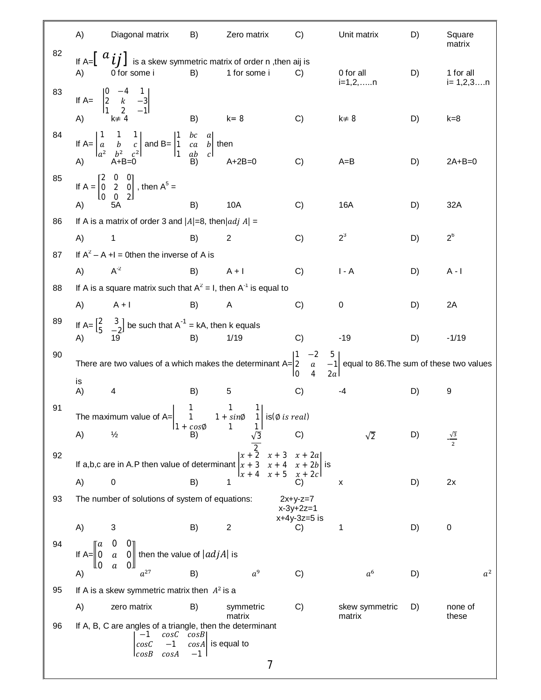|    | A)                       | Diagonal matrix                                                                                                                                                                                                                                  | B)                                  | Zero matrix                          | C)                            | Unit matrix              | D) | Square<br>matrix        |
|----|--------------------------|--------------------------------------------------------------------------------------------------------------------------------------------------------------------------------------------------------------------------------------------------|-------------------------------------|--------------------------------------|-------------------------------|--------------------------|----|-------------------------|
| 82 | A)                       | If A= $\left[\begin{array}{c} a_{ij}\end{array}\right]$ is a skew symmetric matrix of order n ,then aij is<br>0 for some i                                                                                                                       | B)                                  | 1 for some i                         | C)                            | 0 for all<br>i=1,2,n     | D) | 1 for all<br>$i=1,2,3n$ |
| 83 | A)                       | If A= $\begin{vmatrix} 0 & -4 & 1 \\ 2 & k & -3 \\ 1 & 2 & -1 \end{vmatrix}$<br>A) $\begin{vmatrix} k \neq 4 \end{vmatrix}$                                                                                                                      | B)                                  | $k = 8$                              | C)                            | $k \neq 8$               | D) | $k = 8$                 |
| 84 |                          | If A= $\begin{vmatrix} 1 & 1 & 1 \\ a & b & c \\ a^2 & b^2 & c^2 \end{vmatrix}$ and B= $\begin{vmatrix} 1 & bc & a \\ 1 & ca & b \\ 1 & ab & c \end{vmatrix}$ then<br>A) $\begin{vmatrix} 1 & 1 & 1 \\ 1 & b & 1 \\ 1 & ab & c \end{vmatrix}$ A+ |                                     | $A+2B=0$                             |                               |                          |    |                         |
| 85 |                          | If $A = \begin{bmatrix} 2 & 0 & 0 \\ 0 & 2 & 0 \\ 0 & 0 & 2 \end{bmatrix}$ , then $A^5 =$                                                                                                                                                        |                                     |                                      | C)                            | $A = B$                  | D) | $2A+B=0$                |
|    | A)                       |                                                                                                                                                                                                                                                  | B)                                  | 10A                                  | C)                            | 16A                      | D) | 32A                     |
| 86 |                          | If A is a matrix of order 3 and $ A =8$ , then $ adj A =$                                                                                                                                                                                        |                                     |                                      |                               |                          |    |                         |
|    | A)                       | $\overline{\phantom{0}}$ 1                                                                                                                                                                                                                       | B)                                  | $\overline{2}$                       | C)                            | $2^3$                    | D) | $2^6$                   |
| 87 |                          | If $A^2 - A + I = 0$ then the inverse of A is                                                                                                                                                                                                    |                                     |                                      |                               |                          |    |                         |
|    | A)                       | $A^{-2}$                                                                                                                                                                                                                                         | B)                                  | $A + I$                              | C)                            | $I - A$                  | D) | $A - I$                 |
| 88 |                          | If A is a square matrix such that $A^2 = I$ , then $A^{-1}$ is equal to                                                                                                                                                                          |                                     |                                      |                               |                          |    |                         |
|    | A)                       | $A + I$                                                                                                                                                                                                                                          | B)                                  | A                                    | C)                            | 0                        | D) | 2A                      |
| 89 | A)                       | If $A = \begin{bmatrix} 2 & 3 \\ 5 & -2 \end{bmatrix}$ be such that $A^{-1} = kA$ , then k equals<br>19                                                                                                                                          | B)                                  | 1/19                                 | C)                            | $-19$                    | D) | $-1/19$                 |
| 90 |                          | There are two values of a which makes the determinant $A = \begin{vmatrix} 1 & -2 & 5 \\ 2 & a & -1 \\ 0 & 4 & 2a \end{vmatrix}$ equal to 86. The sum of these two values                                                                        |                                     |                                      |                               |                          |    |                         |
|    | is<br>A)                 | 4                                                                                                                                                                                                                                                | B)                                  | 5                                    | C)                            | $-4$                     | D) | 9                       |
| 91 |                          | The maximum value of A= $\begin{vmatrix} 1 & 1 & 1 \\ 1 & 1 + sin\phi & 1 \end{vmatrix}$ is ( $\emptyset$ <i>is real</i> )                                                                                                                       |                                     |                                      |                               |                          |    |                         |
|    | A)                       | $\frac{1}{2}$                                                                                                                                                                                                                                    | $1 + cos \phi$<br>B)                | 1<br>$1\vert$                        | C)                            | $\sqrt{2}$               | D) | $\frac{\sqrt{3}}{2}$    |
| 92 |                          | If a,b,c are in A.P then value of determinant $x + 3$                                                                                                                                                                                            |                                     | $\sqrt{x + 2}$<br>$x + 3$<br>$x + 4$ | $x + 2a$<br>$x + 2b$ is       |                          |    |                         |
|    | A)                       | $\pmb{0}$                                                                                                                                                                                                                                        | B)                                  | $\int x + 4$<br>$x + 5$<br>1         | $x + 2c$<br>C)                | X                        | D) | 2x                      |
| 93 |                          | The number of solutions of system of equations:                                                                                                                                                                                                  |                                     |                                      | $2x+y-z=7$                    |                          |    |                         |
|    |                          |                                                                                                                                                                                                                                                  |                                     |                                      | $x-3y+2z=1$<br>$x+4y-3z=5$ is |                          |    |                         |
|    | A)                       | 3                                                                                                                                                                                                                                                | B)                                  | $\boldsymbol{2}$                     | C)                            | 1                        | D) | $\boldsymbol{0}$        |
| 94 | II a<br>If $A = 0$<br>lю | O<br>OΤ<br>0 then the value of $ adjA $ is<br>$\boldsymbol{a}$<br>OЛ<br>a                                                                                                                                                                        |                                     |                                      |                               |                          |    |                         |
|    | A)                       | $a^{27}$                                                                                                                                                                                                                                         | B)                                  | $a^9$                                | C)                            | $a^6$                    | D) | $a^2$                   |
| 95 |                          | If A is a skew symmetric matrix then $A^2$ is a                                                                                                                                                                                                  |                                     |                                      |                               |                          |    |                         |
|    | A)                       | zero matrix                                                                                                                                                                                                                                      | B)                                  | symmetric<br>matrix                  | C)                            | skew symmetric<br>matrix | D) | none of<br>these        |
| 96 |                          | If A, B, C are angles of a triangle, then the determinant<br>cosC<br>$-1$<br>$-1$<br>cosC<br>lcosB<br>cosA                                                                                                                                       | cosB<br>$cos A$ is equal to<br>$-1$ | 7                                    |                               |                          |    |                         |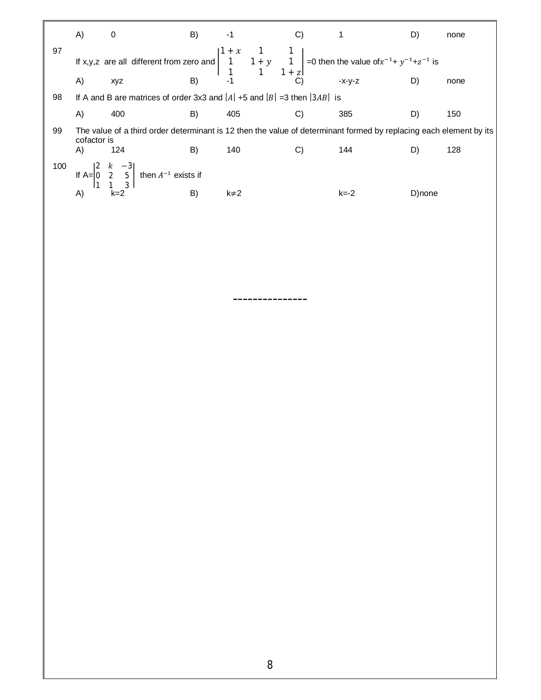|     | A)          | 0                                                                                                                                                                                                   | B) | -1        | C) |      | D)     | none |
|-----|-------------|-----------------------------------------------------------------------------------------------------------------------------------------------------------------------------------------------------|----|-----------|----|------|--------|------|
| 97  |             | If x,y,z are all different from zero and $\begin{vmatrix} 1+x & 1 & 1 \\ 1 & 1+y & 1 \\ 1 & 1 & 1+z \end{vmatrix} = 0$ then the value of $x^{-1} + y^{-1} + z^{-1}$ is<br>A) xvz B) -1 C) -x-y-z D) |    |           |    |      |        |      |
|     |             |                                                                                                                                                                                                     |    |           |    |      |        | none |
| 98  |             | If A and B are matrices of order 3x3 and $ A $ +5 and $ B $ =3 then $ 3AB $ is                                                                                                                      |    |           |    |      |        |      |
|     | A)          | 400                                                                                                                                                                                                 | B) | 405       | C) | 385  | D)     | 150  |
| 99  | cofactor is | The value of a third order determinant is 12 then the value of determinant formed by replacing each element by its                                                                                  |    |           |    |      |        |      |
|     | A)          | 124                                                                                                                                                                                                 | B) | 140       | C) | 144  | D)     | 128  |
| 100 |             | If A= $\begin{vmatrix} 2 & k & -3 \\ 0 & 2 & 5 \\ 1 & 1 & 3 \end{vmatrix}$ then $A^{-1}$ exists if<br>A) $k=2$ B)                                                                                   |    |           |    |      |        |      |
|     |             |                                                                                                                                                                                                     |    | $k\neq 2$ |    | k=-2 | D)none |      |

---------------